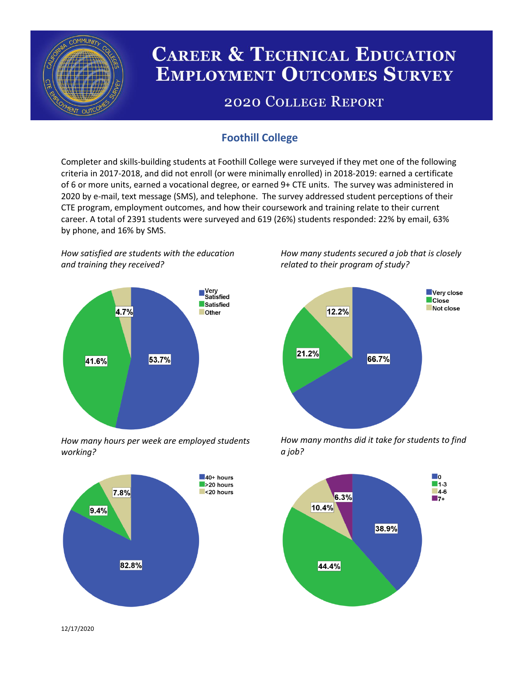

# **CAREER & TECHNICAL EDUCATION EMPLOYMENT OUTCOMES SURVEY**

## **2020 COLLEGE REPORT**

## **Foothill College**

Completer and skills-building students at Foothill College were surveyed if they met one of the following criteria in 2017-2018, and did not enroll (or were minimally enrolled) in 2018-2019: earned a certificate of 6 or more units, earned a vocational degree, or earned 9+ CTE units. The survey was administered in 2020 by e-mail, text message (SMS), and telephone. The survey addressed student perceptions of their CTE program, employment outcomes, and how their coursework and training relate to their current career. A total of 2391 students were surveyed and 619 (26%) students responded: 22% by email, 63% by phone, and 16% by SMS.

*How satisfied are students with the education and training they received?*



*How many hours per week are employed students working?*



*How many students secured a job that is closely related to their program of study?*



*How many months did it take for students to find a job?*